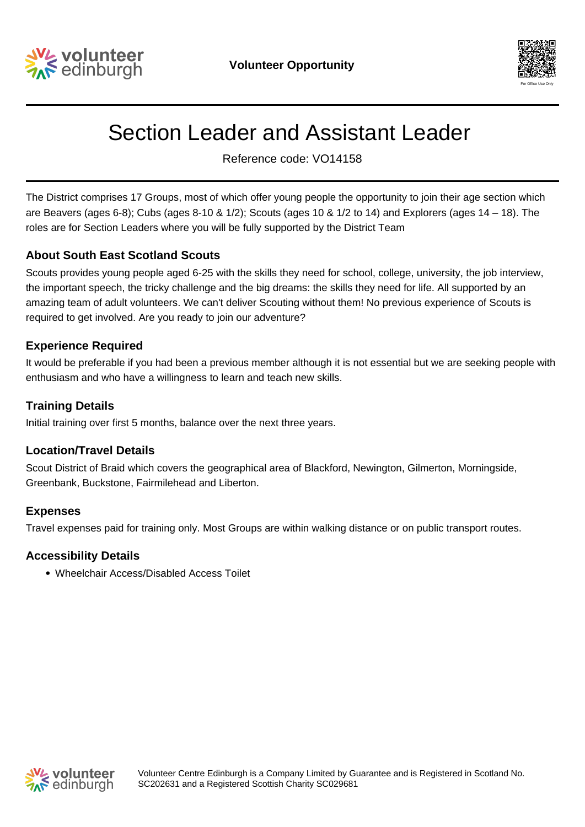



# Section Leader and Assistant Leader

Reference code: VO14158

The District comprises 17 Groups, most of which offer young people the opportunity to join their age section which are Beavers (ages 6-8); Cubs (ages 8-10 & 1/2); Scouts (ages 10 & 1/2 to 14) and Explorers (ages 14 – 18). The roles are for Section Leaders where you will be fully supported by the District Team

# **About South East Scotland Scouts**

Scouts provides young people aged 6-25 with the skills they need for school, college, university, the job interview, the important speech, the tricky challenge and the big dreams: the skills they need for life. All supported by an amazing team of adult volunteers. We can't deliver Scouting without them! No previous experience of Scouts is required to get involved. Are you ready to join our adventure?

#### **Experience Required**

It would be preferable if you had been a previous member although it is not essential but we are seeking people with enthusiasm and who have a willingness to learn and teach new skills.

#### **Training Details**

Initial training over first 5 months, balance over the next three years.

#### **Location/Travel Details**

Scout District of Braid which covers the geographical area of Blackford, Newington, Gilmerton, Morningside, Greenbank, Buckstone, Fairmilehead and Liberton.

# **Expenses**

Travel expenses paid for training only. Most Groups are within walking distance or on public transport routes.

#### **Accessibility Details**

Wheelchair Access/Disabled Access Toilet